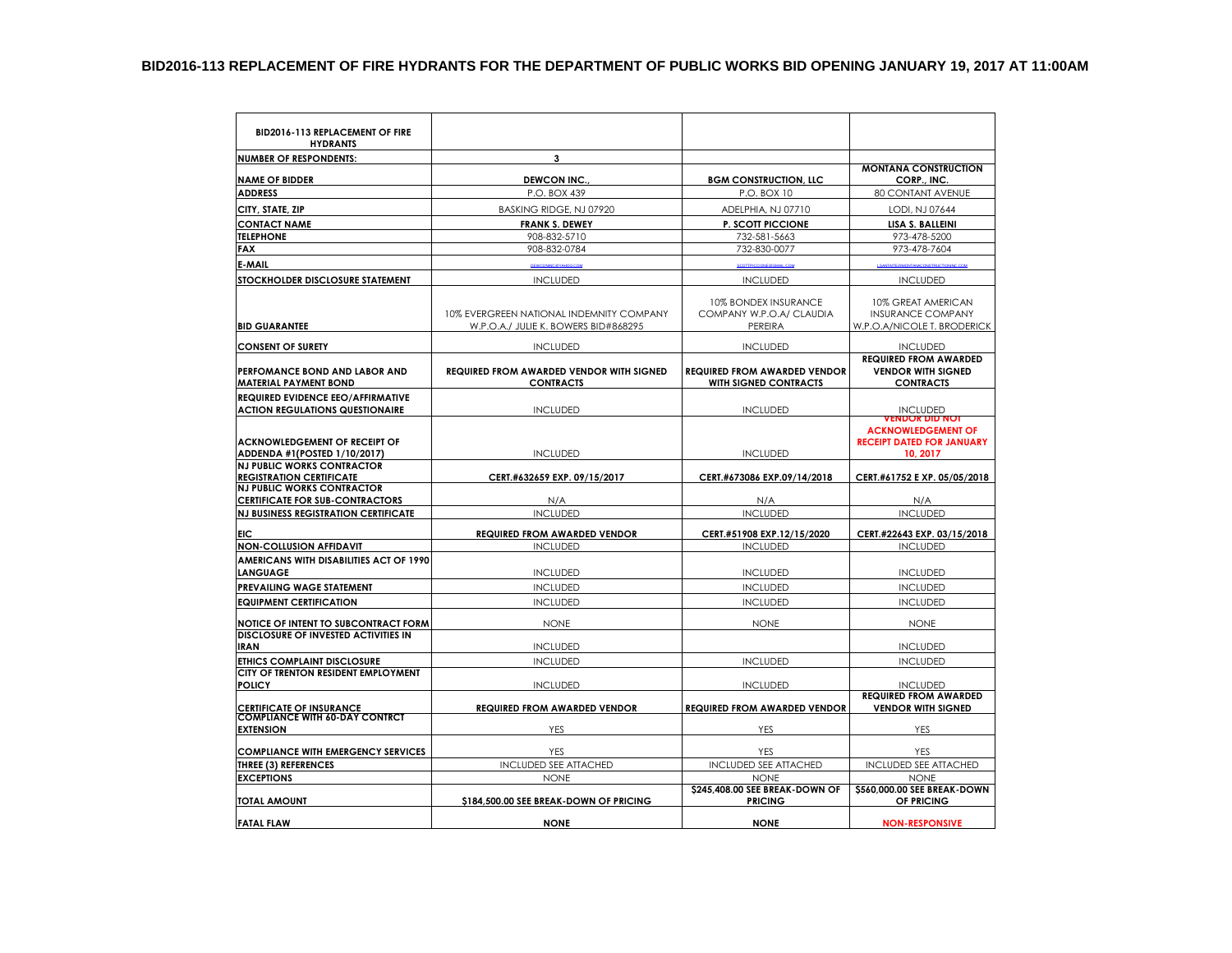| <b>BID2016-113 REPLACEMENT OF FIRE</b><br><b>HYDRANTS</b>                   |                                                                                                                                            |                                                                    |                                                                               |  |
|-----------------------------------------------------------------------------|--------------------------------------------------------------------------------------------------------------------------------------------|--------------------------------------------------------------------|-------------------------------------------------------------------------------|--|
| <b>NUMBER OF RESPONDENTS:</b>                                               | 3                                                                                                                                          |                                                                    |                                                                               |  |
|                                                                             |                                                                                                                                            |                                                                    | <b>MONTANA CONSTRUCTION</b>                                                   |  |
| <b>NAME OF BIDDER</b><br><b>ADDRESS</b>                                     | <b>DEWCON INC.</b><br>P.O. BOX 439                                                                                                         | <b>BGM CONSTRUCTION, LLC</b><br>P.O. BOX 10                        | CORP., INC.<br><b>80 CONTANT AVENUE</b>                                       |  |
|                                                                             |                                                                                                                                            |                                                                    |                                                                               |  |
| CITY, STATE, ZIP                                                            | BASKING RIDGE, NJ 07920                                                                                                                    | ADELPHIA, NJ 07710                                                 | LODI, NJ 07644                                                                |  |
| <b>CONTACT NAME</b>                                                         | <b>FRANK S. DEWEY</b>                                                                                                                      | <b>P. SCOTT PICCIONE</b>                                           | LISA S. BALLEINI                                                              |  |
| <b>TELEPHONE</b><br><b>FAX</b>                                              | 908-832-5710<br>908-832-0784                                                                                                               | 732-581-5663<br>732-830-0077                                       | 973-478-5200<br>973-478-7604                                                  |  |
|                                                                             |                                                                                                                                            |                                                                    |                                                                               |  |
| <b>E-MAIL</b>                                                               | DEWCONNC@YAHOO.COM                                                                                                                         |                                                                    | <b>SANTAITE OF</b>                                                            |  |
| <b>STOCKHOLDER DISCLOSURE STATEMENT</b>                                     | <b>INCLUDED</b>                                                                                                                            | <b>INCLUDED</b>                                                    | <b>INCLUDED</b>                                                               |  |
| <b>BID GUARANTEE</b>                                                        | 10% EVERGREEN NATIONAL INDEMNITY COMPANY<br>W.P.O.A./ JULIE K. BOWERS BID#868295                                                           | <b>10% BONDEX INSURANCE</b><br>COMPANY W.P.O.A/ CLAUDIA<br>PEREIRA | 10% GREAT AMERICAN<br><b>INSURANCE COMPANY</b><br>W.P.O.A/NICOLE T. BRODERICK |  |
| <b>CONSENT OF SURETY</b>                                                    | <b>INCLUDED</b>                                                                                                                            | <b>INCLUDED</b>                                                    | <b>INCLUDED</b>                                                               |  |
| PERFOMANCE BOND AND LABOR AND<br><b>MATERIAL PAYMENT BOND</b>               | <b>REQUIRED FROM AWARDED VENDOR WITH SIGNED</b><br><b>REQUIRED FROM AWARDED VENDOR</b><br><b>CONTRACTS</b><br><b>WITH SIGNED CONTRACTS</b> |                                                                    | <b>REQUIRED FROM AWARDED</b><br><b>VENDOR WITH SIGNED</b><br><b>CONTRACTS</b> |  |
| REQUIRED EVIDENCE EEO/AFFIRMATIVE<br><b>ACTION REGULATIONS QUESTIONAIRE</b> | <b>INCLUDED</b>                                                                                                                            | <b>INCLUDED</b>                                                    | <b>INCLUDED</b><br><b>/ENDOR DID NOT</b>                                      |  |
| ACKNOWLEDGEMENT OF RECEIPT OF<br>ADDENDA #1(POSTED 1/10/2017)               | <b>INCLUDED</b>                                                                                                                            | <b>INCLUDED</b>                                                    | <b>ACKNOWLEDGEMENT OF</b><br><b>RECEIPT DATED FOR JANUARY</b><br>10, 2017     |  |
| <b>NJ PUBLIC WORKS CONTRACTOR</b>                                           |                                                                                                                                            |                                                                    |                                                                               |  |
| <b>REGISTRATION CERTIFICATE</b><br><b>NJ PUBLIC WORKS CONTRACTOR</b>        | CERT.#632659 EXP. 09/15/2017                                                                                                               | CERT.#673086 EXP.09/14/2018                                        | CERT.#61752 E XP. 05/05/2018                                                  |  |
| <b>CERTIFICATE FOR SUB-CONTRACTORS</b>                                      | N/A                                                                                                                                        | N/A                                                                | N/A                                                                           |  |
| <b>NJ BUSINESS REGISTRATION CERTIFICATE</b>                                 | <b>INCLUDED</b>                                                                                                                            | <b>INCLUDED</b>                                                    | <b>INCLUDED</b>                                                               |  |
| EIC                                                                         | <b>REQUIRED FROM AWARDED VENDOR</b>                                                                                                        | CERT.#51908 EXP.12/15/2020                                         | CERT.#22643 EXP. 03/15/2018                                                   |  |
| <b>NON-COLLUSION AFFIDAVIT</b>                                              | <b>INCLUDED</b>                                                                                                                            | <b>INCLUDED</b>                                                    | <b>INCLUDED</b>                                                               |  |
| AMERICANS WITH DISABILITIES ACT OF 1990<br><b>LANGUAGE</b>                  | <b>INCLUDED</b>                                                                                                                            | <b>INCLUDED</b>                                                    | <b>INCLUDED</b>                                                               |  |
| <b>PREVAILING WAGE STATEMENT</b>                                            | <b>INCLUDED</b>                                                                                                                            | <b>INCLUDED</b>                                                    | <b>INCLUDED</b>                                                               |  |
| <b>EQUIPMENT CERTIFICATION</b>                                              | <b>INCLUDED</b>                                                                                                                            | <b>INCLUDED</b>                                                    | <b>INCLUDED</b>                                                               |  |
| NOTICE OF INTENT TO SUBCONTRACT FORM                                        | <b>NONE</b>                                                                                                                                | <b>NONE</b>                                                        | <b>NONE</b>                                                                   |  |
| <b>DISCLOSURE OF INVESTED ACTIVITIES IN</b><br><b>IRAN</b>                  | <b>INCLUDED</b>                                                                                                                            |                                                                    | <b>INCLUDED</b>                                                               |  |
| <b>ETHICS COMPLAINT DISCLOSURE</b>                                          | <b>INCLUDED</b>                                                                                                                            | <b>INCLUDED</b>                                                    | <b>INCLUDED</b>                                                               |  |
| CITY OF TRENTON RESIDENT EMPLOYMENT                                         |                                                                                                                                            |                                                                    |                                                                               |  |
| <b>POLICY</b>                                                               | <b>INCLUDED</b>                                                                                                                            | <b>INCLUDED</b>                                                    | <b>INCLUDED</b>                                                               |  |
| <b>CERTIFICATE OF INSURANCE</b><br><b>COMPLIANCE WITH 60-DAY CONTRCT</b>    | <b>REQUIRED FROM AWARDED VENDOR</b>                                                                                                        | <b>REQUIRED FROM AWARDED VENDOR</b>                                | <b>REQUIRED FROM AWARDED</b><br><b>VENDOR WITH SIGNED</b>                     |  |
| <b>EXTENSION</b>                                                            | YES                                                                                                                                        | YES                                                                | YES                                                                           |  |
| <b>COMPLIANCE WITH EMERGENCY SERVICES</b>                                   | <b>YES</b>                                                                                                                                 | <b>YES</b>                                                         | <b>YES</b>                                                                    |  |
| <b>THREE (3) REFERENCES</b>                                                 | <b>INCLUDED SEE ATTACHED</b>                                                                                                               | <b>INCLUDED SEE ATTACHED</b>                                       | <b>INCLUDED SEE ATTACHED</b>                                                  |  |
| <b>EXCEPTIONS</b>                                                           | <b>NONE</b>                                                                                                                                | <b>NONE</b>                                                        | <b>NONE</b>                                                                   |  |
| <b>TOTAL AMOUNT</b>                                                         | \$184,500.00 SEE BREAK-DOWN OF PRICING                                                                                                     | \$245,408.00 SEE BREAK-DOWN OF<br><b>PRICING</b>                   | \$560,000.00 SEE BREAK-DOWN<br>OF PRICING                                     |  |
| <b>FATAL FLAW</b>                                                           | <b>NONE</b>                                                                                                                                | <b>NONE</b>                                                        | <b>NON-RESPONSIVE</b>                                                         |  |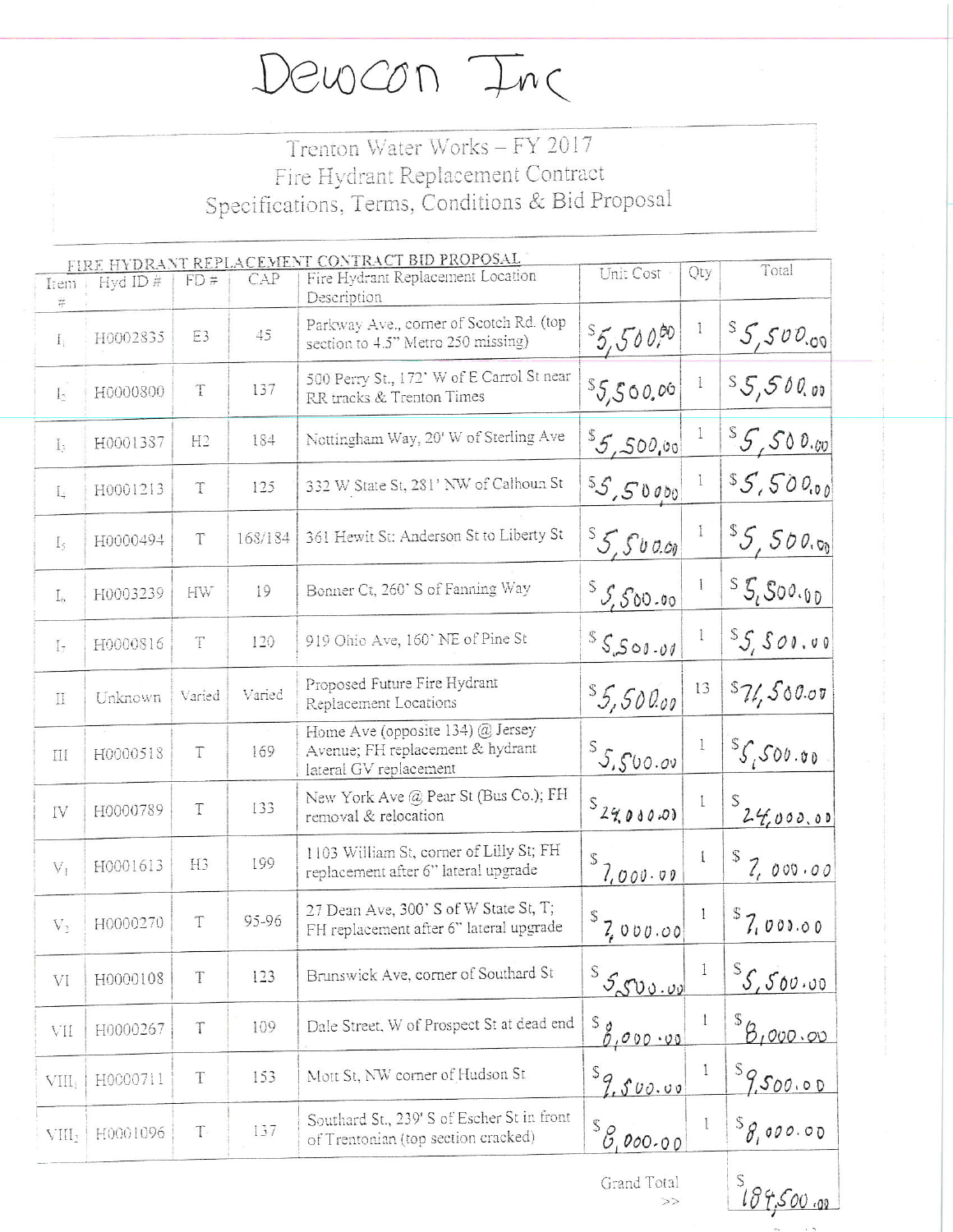Dewcon Inc

## Trenton Water Works - FY 2017 Fire Hydrant Replacement Contract Specifications, Terms, Conditions & Bid Proposal

| Item<br>Ħ.         | Hyd ID#  | FD#            | CAP     | FIRE HYDRANT REPLACEMENT CONTRACT BID PROPOSAL<br>Fire Hydrant Replacement Location<br>Description | Unit Cost                               | Qty          | Total                                            |
|--------------------|----------|----------------|---------|----------------------------------------------------------------------------------------------------|-----------------------------------------|--------------|--------------------------------------------------|
| I <sub>1</sub>     | H0002835 | E3             | 45      | Parkway Ave., corner of Scotch Rd. (top<br>section to 4.5" Metro 250 missing)                      | 5,50000                                 | $\mathbf{1}$ | $S_{5,500,00}$                                   |
| $\mathbf{L}$       | H0000800 | $\mathbf T$    | 137     | 500 Perry St., 172' W of E Carrol St near<br>RR tracks & Trenton Times                             | 55,500,00                               | $\mathbf{1}$ | S5,500,00                                        |
| $I_{3}$            | H0001387 | H <sub>2</sub> | 184     | Nottingham Way, 20' W of Sterling Ave                                                              | ${}^{s}5,500,00$                        | 1            | $S_{5,500,w}$                                    |
| $\mathbb{I}$ .     | H0001213 | T              | 125     | 332 W State St, 281' NW of Calhoun St                                                              | 55,50000                                |              | \$5,500,00                                       |
| $I_{\hat{\tau}}$   | H0000494 | T              | 168/184 | 361 Hewit St: Anderson St to Liberty St                                                            | ${}^{5}5.50000$                         | $\mathbf{1}$ | 55,500.00                                        |
| $I_{\alpha}$       | H0003239 | HW             | 19      | Bonner Ct, 260' S of Fanning Way                                                                   | $S_{5,500.00}$                          |              | $S_{i}S_{i}S_{0}O_{i}O_{i}$                      |
| $I_{\overline{z}}$ | H0000816 | T              | 120     | 919 Ohio Ave, 160' NE of Pine St                                                                   | 55500.00                                | 1            | $S_5$ 500.00                                     |
| II                 | Unknown  | Varied         | Varied  | Proposed Future Fire Hydrant<br>Replacement Locations                                              | 5,50000                                 | 13           | 571,500.07                                       |
| Ш                  | H0000518 | T              | 169     | Home Ave (opposite 134) @ Jersey<br>Avenue: FH replacement & hydrant<br>lateral GV replacement     | 55,500.00                               | Ţ            | ${}^{S}S,$ 500.00                                |
| IV                 | H0000789 | T              | 133     | New York Ave @ Pear St (Bus Co.); FH<br>removal & relocation                                       | $s_{24,0000}$                           | $\mathbf{I}$ | $s_{24000.00}$                                   |
| $V_1$              | H0001613 | H <sub>3</sub> | 199     | 1103 William St, corner of Lilly St; FH<br>replacement after 6" lateral upgrade                    | 7,000.00                                | $\mathbf{I}$ | 8,000.00                                         |
| $V_2$              | H0000270 | T              | 95-96   | 27 Dean Ave, 300' S of W State St, T;<br>FH replacement after 6" lateral upgrade                   | $S$ 7,000.00                            | $\mathbf{I}$ | $s_{7,000.00}$                                   |
| VI                 | H0000108 | T              | 123     | Brunswick Ave, corner of Southard St                                                               | $^{\mathcal{S}}$ 5500.00                | $\mathbf{1}$ | ${}^{\mathcal{S}}\mathcal{S}, \mathcal{S}$ 00.00 |
| VII                | H0000267 | T              | 109     | Dale Street, W of Prospect St at dead end                                                          | $\frac{s_{\beta_{1}^{0}}}{s_{1}^{000}}$ | $\mathbf{1}$ | 8,000.00                                         |
| VIII,              | H0000711 | T              | 153     | Mott St, NW corner of Hudson St                                                                    | $s_{9.500.00}$                          | $\mathbf{I}$ | $s_{9500.00}$                                    |
| VIII <sup>,</sup>  | H0001096 | T              | 137     | Southard St., 239' S of Escher St in front<br>of Trentonian (top section cracked)                  | ${}^{\mathcal{S}}\mathcal{B}$ ,000.00   |              | ${}^{\mathcal{S}}\mathcal{S}$ , 000.00           |
|                    |          |                |         |                                                                                                    | Grand Total<br>>>                       |              | $\mathcal{S}$<br>184,500.00                      |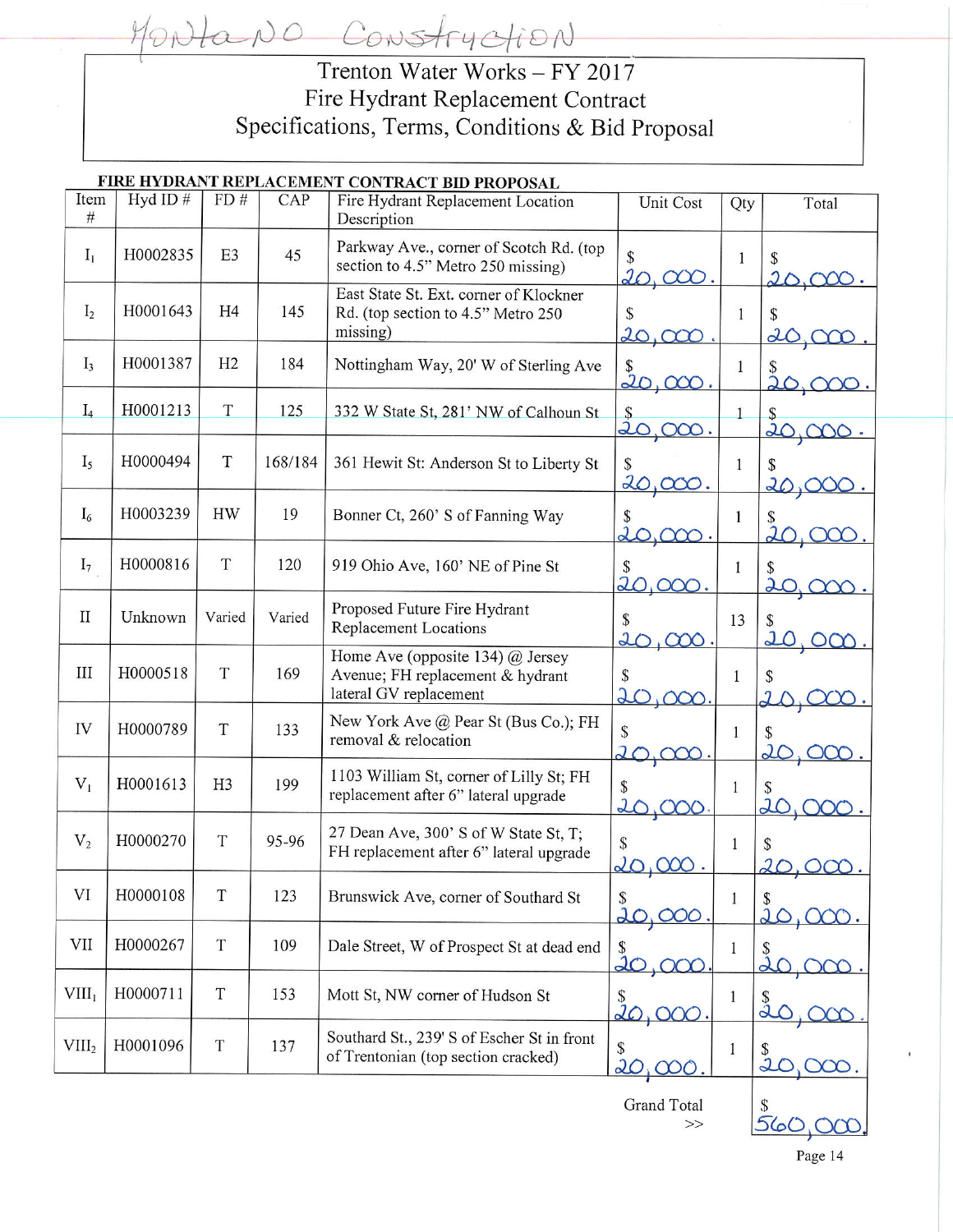ano Construction Trenton Water Works - FY 2017 Fire Hydrant Replacement Contract Specifications, Terms, Conditions & Bid Proposal

|                   |            |                |         | FIRE HYDRANT REPLACEMENT CONTRACT BID PROPOSAL                                                   |                                |              |                          |
|-------------------|------------|----------------|---------|--------------------------------------------------------------------------------------------------|--------------------------------|--------------|--------------------------|
| Item<br>#         | Hyd ID $#$ | FD#            | CAP     | Fire Hydrant Replacement Location<br>Description                                                 | Unit Cost                      | Qty          | Total                    |
| $I_1$             | H0002835   | E <sub>3</sub> | 45      | Parkway Ave., corner of Scotch Rd. (top<br>section to 4.5" Metro 250 missing)                    | \$                             | 1            | S<br>$2\Delta$           |
| I <sub>2</sub>    | H0001643   | H <sub>4</sub> | 145     | East State St. Ext. corner of Klockner<br>Rd. (top section to 4.5" Metro 250<br>missing)         | S<br>20,000                    | $\mathbf{1}$ | \$<br>20,                |
| $I_3$             | H0001387   | H2             | 184     | Nottingham Way, 20' W of Sterling Ave                                                            | $\frac{\$}{20,000}$            | $\mathbf{1}$ |                          |
| $I_4$             | H0001213   | $\mathbf T$    | 125     | 332 W State St, 281' NW of Calhoun St                                                            | $\frac{\$}{20}$<br>200.        |              | 20                       |
| I <sub>5</sub>    | H0000494   | $\mathbf T$    | 168/184 | 361 Hewit St: Anderson St to Liberty St                                                          | \$<br>20                       | 1            | \$<br>20,0               |
| $I_6$             | H0003239   | <b>HW</b>      | 19      | Bonner Ct, 260' S of Fanning Way                                                                 | S<br>$\overline{d}$            | 1            | $\overline{\mathcal{L}}$ |
| I <sub>7</sub>    | H0000816   | $\mathbf T$    | 120     | 919 Ohio Ave, 160' NE of Pine St                                                                 | $\overline{20}$                | 1            | \$<br>$\overline{20}$    |
| $\rm II$          | Unknown    | Varied         | Varied  | Proposed Future Fire Hydrant<br><b>Replacement Locations</b>                                     | 20<br>$\infty$                 | 13           | 20                       |
| III               | H0000518   | $\mathbf T$    | 169     | Home Ave (opposite 134) $@$ Jersey<br>Avenue; FH replacement & hydrant<br>lateral GV replacement | $\overline{\mathcal{L}}$       | $\mathbf{1}$ |                          |
| IV                | H0000789   | T              | 133     | New York Ave @ Pear St (Bus Co.); FH<br>removal & relocation                                     | \$<br>$\overline{\mathcal{L}}$ | $\mathbf{1}$ | $\overline{\mathcal{U}}$ |
| $V_1$             | H0001613   | H3             | 199     | 1103 William St, corner of Lilly St; FH<br>replacement after 6" lateral upgrade                  | \$                             | 1            | $\overline{\mathcal{X}}$ |
| V <sub>2</sub>    | H0000270   | T              | 95-96   | 27 Dean Ave, 300' S of W State St, T;<br>FH replacement after 6" lateral upgrade                 | \$                             | 1            | 20                       |
| VI                | H0000108   | $\mathcal T$   | 123     | Brunswick Ave, corner of Southard St                                                             | 20,000                         | $\mathbf{1}$ | 20                       |
| <b>VII</b>        | H0000267   | $\mathbf T$    | 109     | Dale Street, W of Prospect St at dead end                                                        | S<br>20,000                    | 1            |                          |
| VIII <sub>1</sub> | H0000711   | $\mathcal T$   | 153     | Mott St, NW corner of Hudson St                                                                  | $\frac{1}{10}$ ,000            | 1            | ä                        |
| VIII <sub>2</sub> | H0001096   | $\mathcal T$   | 137     | Southard St., 239' S of Escher St in front<br>of Trentonian (top section cracked)                | \$<br><u>20,000</u>            | 1            | 2                        |
|                   |            |                |         |                                                                                                  | <b>Grand Total</b><br>>>       |              | <u>560</u>               |

Page 14